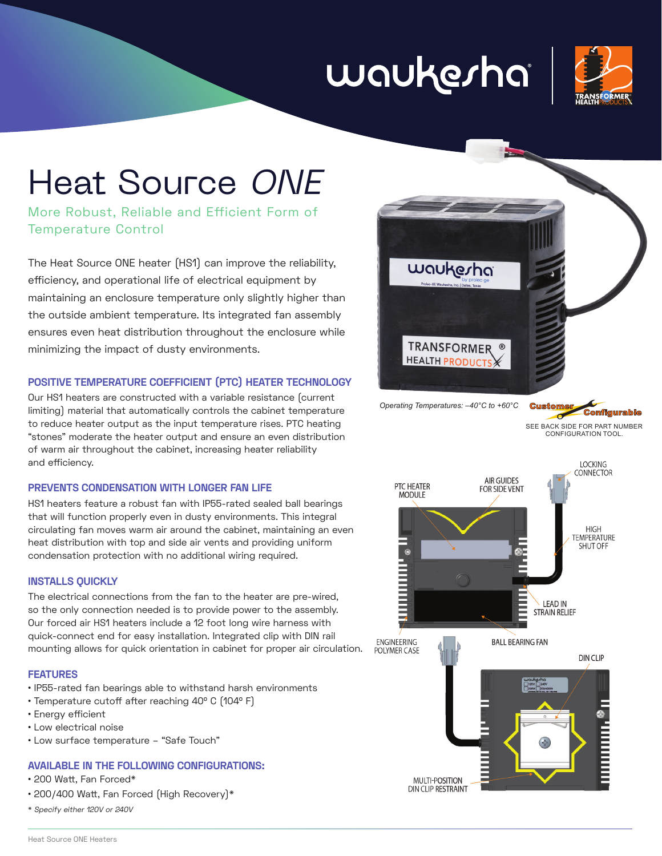# waukesha



## Heat Source ONE

More Robust, Reliable and Efficient Form of Temperature Control

The Heat Source ONE heater (HS1) can improve the reliability, efficiency, and operational life of electrical equipment by maintaining an enclosure temperature only slightly higher than the outside ambient temperature. Its integrated fan assembly ensures even heat distribution throughout the enclosure while minimizing the impact of dusty environments.

#### **POSITIVE TEMPERATURE COEFFICIENT (PTC) HEATER TECHNOLOGY**

Our HS1 heaters are constructed with a variable resistance (current limiting) material that automatically controls the cabinet temperature to reduce heater output as the input temperature rises. PTC heating "stones" moderate the heater output and ensure an even distribution of warm air throughout the cabinet, increasing heater reliability and efficiency.

#### **PREVENTS CONDENSATION WITH LONGER FAN LIFE**

HS1 heaters feature a robust fan with IP55-rated sealed ball bearings that will function properly even in dusty environments. This integral circulating fan moves warm air around the cabinet, maintaining an even heat distribution with top and side air vents and providing uniform condensation protection with no additional wiring required.

#### **INSTALLS QUICKLY**

The electrical connections from the fan to the heater are pre-wired, so the only connection needed is to provide power to the assembly. Our forced air HS1 heaters include a 12 foot long wire harness with quick-connect end for easy installation. Integrated clip with DIN rail mounting allows for quick orientation in cabinet for proper air circulation.

#### **FEATURES**

- IP55-rated fan bearings able to withstand harsh environments
- Temperature cutoff after reaching 40° C (104° F)
- Energy efficient
- Low electrical noise
- Low surface temperature "Safe Touch"

#### **AVAILABLE IN THE FOLLOWING CONFIGURATIONS:**

- 200 Watt, Fan Forced\*
- 200/400 Watt, Fan Forced (High Recovery)\*
- \* Specify either 120V or 240V



*Operating Temperatures: –40°C to +60°C*

**Configurable** SEE BACK SIDE FOR PART NUMBER CONFIGURATION TOOL.

**Custome**